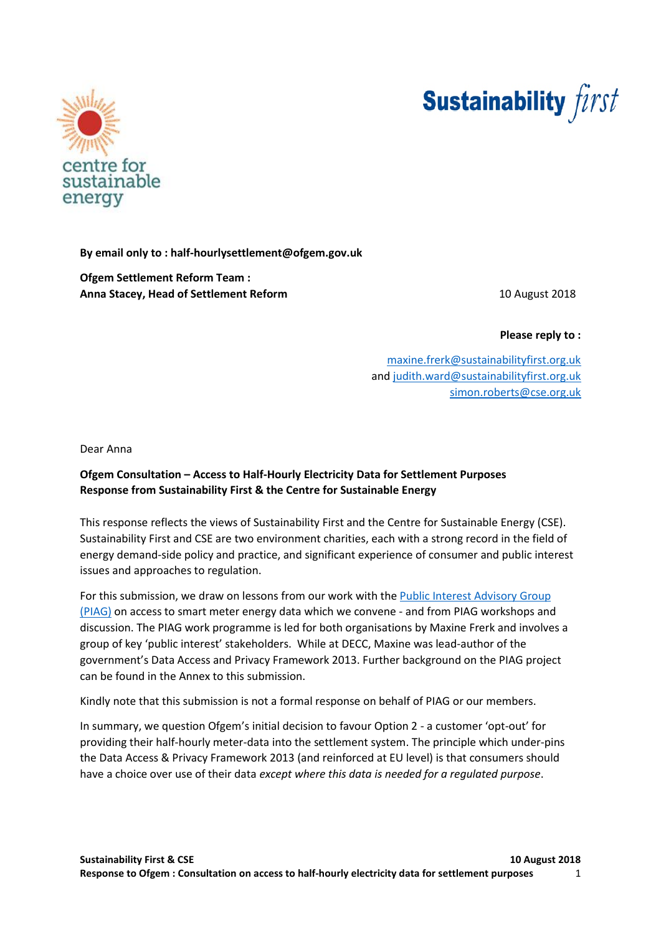



**By email only to : half-hourlysettlement@ofgem.gov.uk**

**Ofgem Settlement Reform Team : Anna Stacey, Head of Settlement Reform** 10 August 2018

**Please reply to :**

[maxine.frerk@sustainabilityfirst.org.uk](mailto:maxine.frerk@sustainabilityfirst.org.uk) and [judith.ward@sustainabilityfirst.org.uk](mailto:judith.ward@sustainabilityfirst.org.uk) [simon.roberts@cse.org.uk](mailto:simon.roberts@cse.org.uk)

Dear Anna

#### **Ofgem Consultation – Access to Half-Hourly Electricity Data for Settlement Purposes Response from Sustainability First & the Centre for Sustainable Energy**

This response reflects the views of Sustainability First and the Centre for Sustainable Energy (CSE). Sustainability First and CSE are two environment charities, each with a strong record in the field of energy demand-side policy and practice, and significant experience of consumer and public interest issues and approaches to regulation.

For this submission, we draw on lessons from our work with the [Public Interest Advisory Group](http://www.smartenergydatapiag.org.uk/)  [\(PIAG\)](http://www.smartenergydatapiag.org.uk/) on access to smart meter energy data which we convene - and from PIAG workshops and discussion. The PIAG work programme is led for both organisations by Maxine Frerk and involves a group of key 'public interest' stakeholders. While at DECC, Maxine was lead-author of the government's Data Access and Privacy Framework 2013. Further background on the PIAG project can be found in the Annex to this submission.

Kindly note that this submission is not a formal response on behalf of PIAG or our members.

In summary, we question Ofgem's initial decision to favour Option 2 - a customer 'opt-out' for providing their half-hourly meter-data into the settlement system. The principle which under-pins the Data Access & Privacy Framework 2013 (and reinforced at EU level) is that consumers should have a choice over use of their data *except where this data is needed for a regulated purpose*.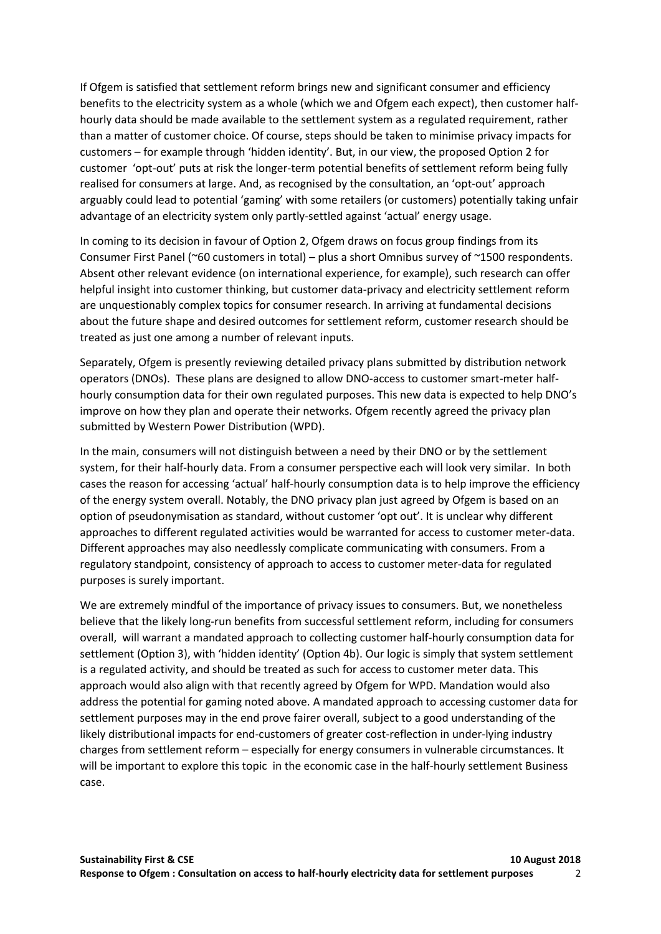If Ofgem is satisfied that settlement reform brings new and significant consumer and efficiency benefits to the electricity system as a whole (which we and Ofgem each expect), then customer halfhourly data should be made available to the settlement system as a regulated requirement, rather than a matter of customer choice. Of course, steps should be taken to minimise privacy impacts for customers – for example through 'hidden identity'. But, in our view, the proposed Option 2 for customer 'opt-out' puts at risk the longer-term potential benefits of settlement reform being fully realised for consumers at large. And, as recognised by the consultation, an 'opt-out' approach arguably could lead to potential 'gaming' with some retailers (or customers) potentially taking unfair advantage of an electricity system only partly-settled against 'actual' energy usage.

In coming to its decision in favour of Option 2, Ofgem draws on focus group findings from its Consumer First Panel (~60 customers in total) – plus a short Omnibus survey of ~1500 respondents. Absent other relevant evidence (on international experience, for example), such research can offer helpful insight into customer thinking, but customer data-privacy and electricity settlement reform are unquestionably complex topics for consumer research. In arriving at fundamental decisions about the future shape and desired outcomes for settlement reform, customer research should be treated as just one among a number of relevant inputs.

Separately, Ofgem is presently reviewing detailed privacy plans submitted by distribution network operators (DNOs). These plans are designed to allow DNO-access to customer smart-meter halfhourly consumption data for their own regulated purposes. This new data is expected to help DNO's improve on how they plan and operate their networks. Ofgem recently agreed the privacy plan submitted by Western Power Distribution (WPD).

In the main, consumers will not distinguish between a need by their DNO or by the settlement system, for their half-hourly data. From a consumer perspective each will look very similar. In both cases the reason for accessing 'actual' half-hourly consumption data is to help improve the efficiency of the energy system overall. Notably, the DNO privacy plan just agreed by Ofgem is based on an option of pseudonymisation as standard, without customer 'opt out'. It is unclear why different approaches to different regulated activities would be warranted for access to customer meter-data. Different approaches may also needlessly complicate communicating with consumers. From a regulatory standpoint, consistency of approach to access to customer meter-data for regulated purposes is surely important.

We are extremely mindful of the importance of privacy issues to consumers. But, we nonetheless believe that the likely long-run benefits from successful settlement reform, including for consumers overall, will warrant a mandated approach to collecting customer half-hourly consumption data for settlement (Option 3), with 'hidden identity' (Option 4b). Our logic is simply that system settlement is a regulated activity, and should be treated as such for access to customer meter data. This approach would also align with that recently agreed by Ofgem for WPD. Mandation would also address the potential for gaming noted above. A mandated approach to accessing customer data for settlement purposes may in the end prove fairer overall, subject to a good understanding of the likely distributional impacts for end-customers of greater cost-reflection in under-lying industry charges from settlement reform – especially for energy consumers in vulnerable circumstances. It will be important to explore this topic in the economic case in the half-hourly settlement Business case.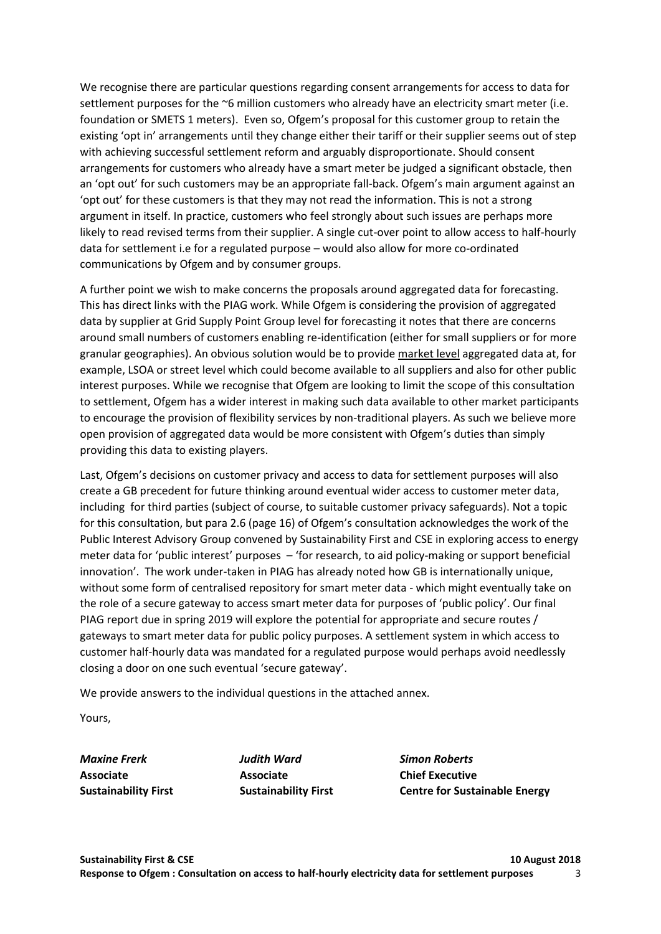We recognise there are particular questions regarding consent arrangements for access to data for settlement purposes for the ~6 million customers who already have an electricity smart meter (i.e. foundation or SMETS 1 meters). Even so, Ofgem's proposal for this customer group to retain the existing 'opt in' arrangements until they change either their tariff or their supplier seems out of step with achieving successful settlement reform and arguably disproportionate. Should consent arrangements for customers who already have a smart meter be judged a significant obstacle, then an 'opt out' for such customers may be an appropriate fall-back. Ofgem's main argument against an 'opt out' for these customers is that they may not read the information. This is not a strong argument in itself. In practice, customers who feel strongly about such issues are perhaps more likely to read revised terms from their supplier. A single cut-over point to allow access to half-hourly data for settlement i.e for a regulated purpose – would also allow for more co-ordinated communications by Ofgem and by consumer groups.

A further point we wish to make concerns the proposals around aggregated data for forecasting. This has direct links with the PIAG work. While Ofgem is considering the provision of aggregated data by supplier at Grid Supply Point Group level for forecasting it notes that there are concerns around small numbers of customers enabling re-identification (either for small suppliers or for more granular geographies). An obvious solution would be to provide market level aggregated data at, for example, LSOA or street level which could become available to all suppliers and also for other public interest purposes. While we recognise that Ofgem are looking to limit the scope of this consultation to settlement, Ofgem has a wider interest in making such data available to other market participants to encourage the provision of flexibility services by non-traditional players. As such we believe more open provision of aggregated data would be more consistent with Ofgem's duties than simply providing this data to existing players.

Last, Ofgem's decisions on customer privacy and access to data for settlement purposes will also create a GB precedent for future thinking around eventual wider access to customer meter data, including for third parties (subject of course, to suitable customer privacy safeguards). Not a topic for this consultation, but para 2.6 (page 16) of Ofgem's consultation acknowledges the work of the Public Interest Advisory Group convened by Sustainability First and CSE in exploring access to energy meter data for 'public interest' purposes – 'for research, to aid policy-making or support beneficial innovation'. The work under-taken in PIAG has already noted how GB is internationally unique, without some form of centralised repository for smart meter data - which might eventually take on the role of a secure gateway to access smart meter data for purposes of 'public policy'. Our final PIAG report due in spring 2019 will explore the potential for appropriate and secure routes / gateways to smart meter data for public policy purposes. A settlement system in which access to customer half-hourly data was mandated for a regulated purpose would perhaps avoid needlessly closing a door on one such eventual 'secure gateway'.

We provide answers to the individual questions in the attached annex.

Yours,

*Maxine Frerk Judith Ward Simon Roberts* **Associate Associate Chief Executive**

**Sustainability First Sustainability First Centre for Sustainable Energy**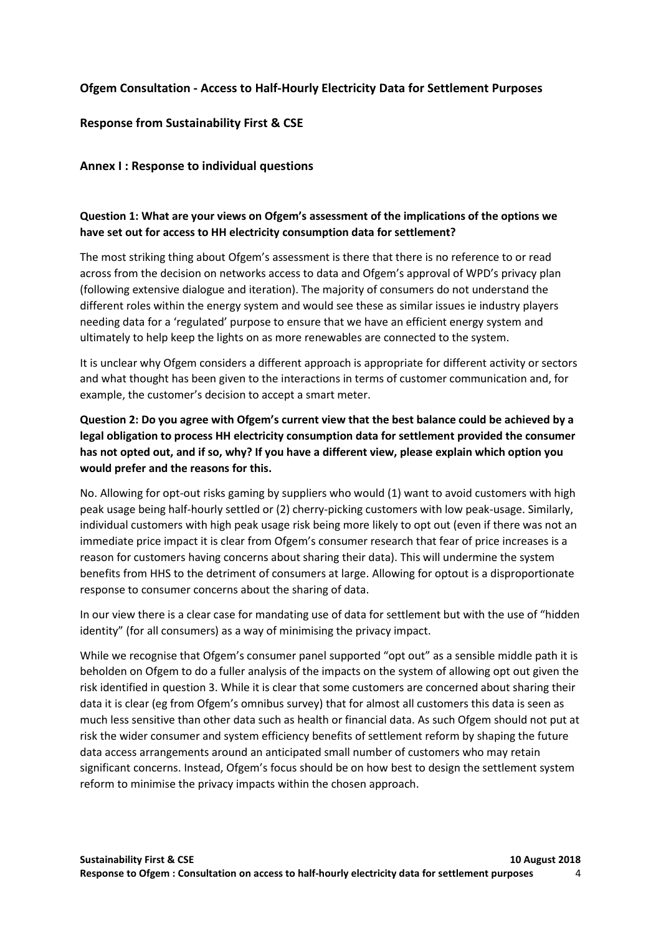## **Ofgem Consultation - Access to Half-Hourly Electricity Data for Settlement Purposes**

#### **Response from Sustainability First & CSE**

#### **Annex I : Response to individual questions**

#### **Question 1: What are your views on Ofgem's assessment of the implications of the options we have set out for access to HH electricity consumption data for settlement?**

The most striking thing about Ofgem's assessment is there that there is no reference to or read across from the decision on networks access to data and Ofgem's approval of WPD's privacy plan (following extensive dialogue and iteration). The majority of consumers do not understand the different roles within the energy system and would see these as similar issues ie industry players needing data for a 'regulated' purpose to ensure that we have an efficient energy system and ultimately to help keep the lights on as more renewables are connected to the system.

It is unclear why Ofgem considers a different approach is appropriate for different activity or sectors and what thought has been given to the interactions in terms of customer communication and, for example, the customer's decision to accept a smart meter.

**Question 2: Do you agree with Ofgem's current view that the best balance could be achieved by a legal obligation to process HH electricity consumption data for settlement provided the consumer has not opted out, and if so, why? If you have a different view, please explain which option you would prefer and the reasons for this.** 

No. Allowing for opt-out risks gaming by suppliers who would (1) want to avoid customers with high peak usage being half-hourly settled or (2) cherry-picking customers with low peak-usage. Similarly, individual customers with high peak usage risk being more likely to opt out (even if there was not an immediate price impact it is clear from Ofgem's consumer research that fear of price increases is a reason for customers having concerns about sharing their data). This will undermine the system benefits from HHS to the detriment of consumers at large. Allowing for optout is a disproportionate response to consumer concerns about the sharing of data.

In our view there is a clear case for mandating use of data for settlement but with the use of "hidden identity" (for all consumers) as a way of minimising the privacy impact.

While we recognise that Ofgem's consumer panel supported "opt out" as a sensible middle path it is beholden on Ofgem to do a fuller analysis of the impacts on the system of allowing opt out given the risk identified in question 3. While it is clear that some customers are concerned about sharing their data it is clear (eg from Ofgem's omnibus survey) that for almost all customers this data is seen as much less sensitive than other data such as health or financial data. As such Ofgem should not put at risk the wider consumer and system efficiency benefits of settlement reform by shaping the future data access arrangements around an anticipated small number of customers who may retain significant concerns. Instead, Ofgem's focus should be on how best to design the settlement system reform to minimise the privacy impacts within the chosen approach.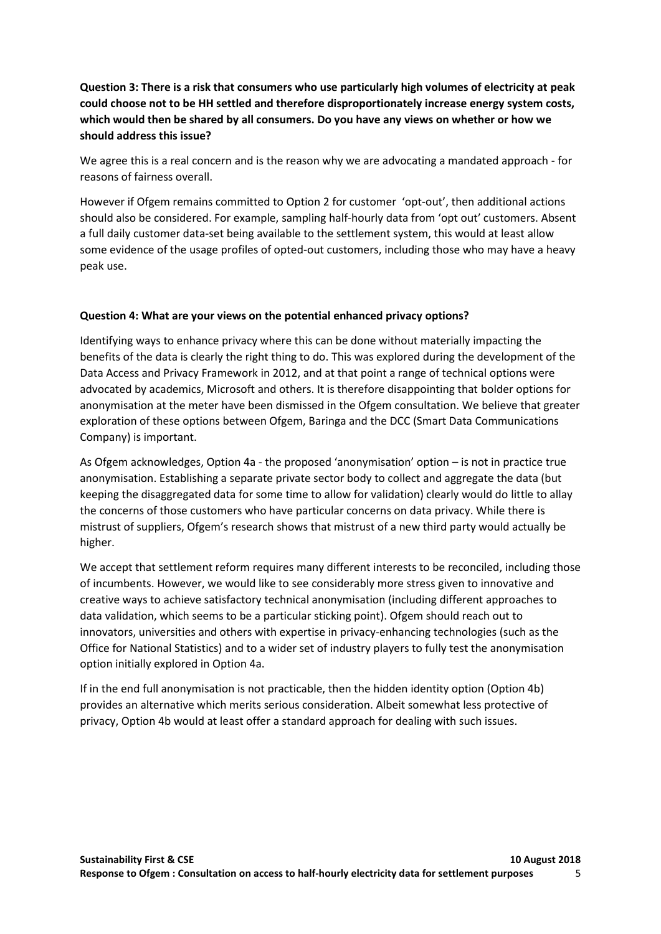**Question 3: There is a risk that consumers who use particularly high volumes of electricity at peak could choose not to be HH settled and therefore disproportionately increase energy system costs, which would then be shared by all consumers. Do you have any views on whether or how we should address this issue?** 

We agree this is a real concern and is the reason why we are advocating a mandated approach - for reasons of fairness overall.

However if Ofgem remains committed to Option 2 for customer 'opt-out', then additional actions should also be considered. For example, sampling half-hourly data from 'opt out' customers. Absent a full daily customer data-set being available to the settlement system, this would at least allow some evidence of the usage profiles of opted-out customers, including those who may have a heavy peak use.

#### **Question 4: What are your views on the potential enhanced privacy options?**

Identifying ways to enhance privacy where this can be done without materially impacting the benefits of the data is clearly the right thing to do. This was explored during the development of the Data Access and Privacy Framework in 2012, and at that point a range of technical options were advocated by academics, Microsoft and others. It is therefore disappointing that bolder options for anonymisation at the meter have been dismissed in the Ofgem consultation. We believe that greater exploration of these options between Ofgem, Baringa and the DCC (Smart Data Communications Company) is important.

As Ofgem acknowledges, Option 4a - the proposed 'anonymisation' option – is not in practice true anonymisation. Establishing a separate private sector body to collect and aggregate the data (but keeping the disaggregated data for some time to allow for validation) clearly would do little to allay the concerns of those customers who have particular concerns on data privacy. While there is mistrust of suppliers, Ofgem's research shows that mistrust of a new third party would actually be higher.

We accept that settlement reform requires many different interests to be reconciled, including those of incumbents. However, we would like to see considerably more stress given to innovative and creative ways to achieve satisfactory technical anonymisation (including different approaches to data validation, which seems to be a particular sticking point). Ofgem should reach out to innovators, universities and others with expertise in privacy-enhancing technologies (such as the Office for National Statistics) and to a wider set of industry players to fully test the anonymisation option initially explored in Option 4a.

If in the end full anonymisation is not practicable, then the hidden identity option (Option 4b) provides an alternative which merits serious consideration. Albeit somewhat less protective of privacy, Option 4b would at least offer a standard approach for dealing with such issues.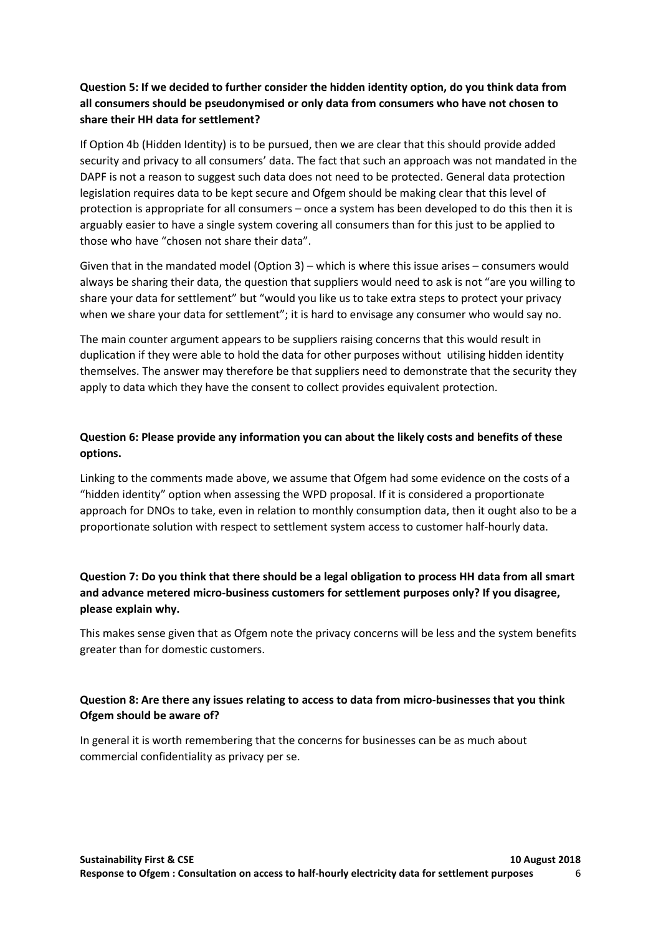## **Question 5: If we decided to further consider the hidden identity option, do you think data from all consumers should be pseudonymised or only data from consumers who have not chosen to share their HH data for settlement?**

If Option 4b (Hidden Identity) is to be pursued, then we are clear that this should provide added security and privacy to all consumers' data. The fact that such an approach was not mandated in the DAPF is not a reason to suggest such data does not need to be protected. General data protection legislation requires data to be kept secure and Ofgem should be making clear that this level of protection is appropriate for all consumers – once a system has been developed to do this then it is arguably easier to have a single system covering all consumers than for this just to be applied to those who have "chosen not share their data".

Given that in the mandated model (Option 3) – which is where this issue arises – consumers would always be sharing their data, the question that suppliers would need to ask is not "are you willing to share your data for settlement" but "would you like us to take extra steps to protect your privacy when we share your data for settlement"; it is hard to envisage any consumer who would say no.

The main counter argument appears to be suppliers raising concerns that this would result in duplication if they were able to hold the data for other purposes without utilising hidden identity themselves. The answer may therefore be that suppliers need to demonstrate that the security they apply to data which they have the consent to collect provides equivalent protection.

#### **Question 6: Please provide any information you can about the likely costs and benefits of these options.**

Linking to the comments made above, we assume that Ofgem had some evidence on the costs of a "hidden identity" option when assessing the WPD proposal. If it is considered a proportionate approach for DNOs to take, even in relation to monthly consumption data, then it ought also to be a proportionate solution with respect to settlement system access to customer half-hourly data.

#### **Question 7: Do you think that there should be a legal obligation to process HH data from all smart and advance metered micro-business customers for settlement purposes only? If you disagree, please explain why.**

This makes sense given that as Ofgem note the privacy concerns will be less and the system benefits greater than for domestic customers.

#### **Question 8: Are there any issues relating to access to data from micro-businesses that you think Ofgem should be aware of?**

In general it is worth remembering that the concerns for businesses can be as much about commercial confidentiality as privacy per se.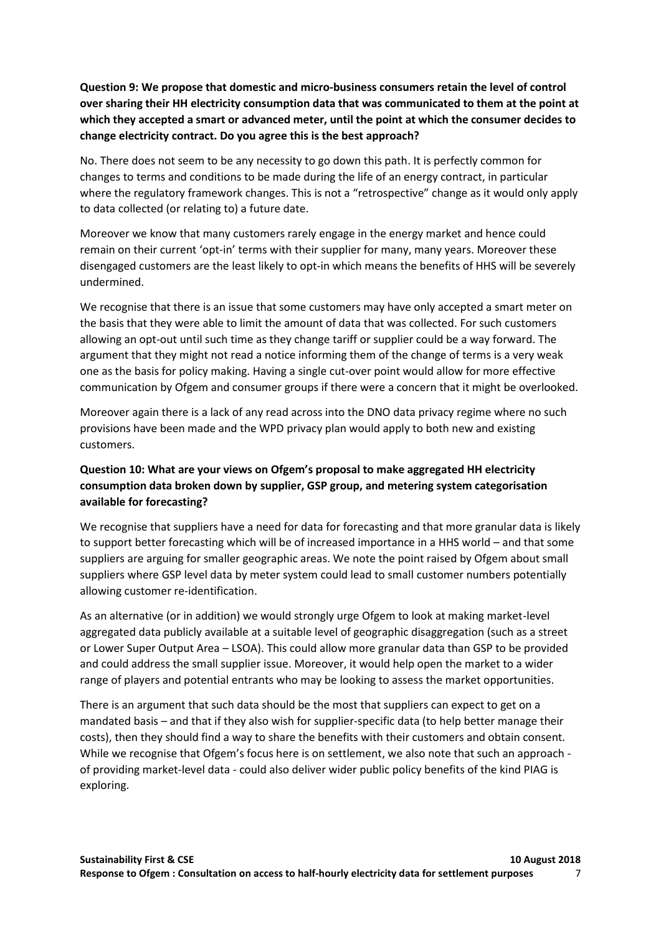**Question 9: We propose that domestic and micro-business consumers retain the level of control over sharing their HH electricity consumption data that was communicated to them at the point at which they accepted a smart or advanced meter, until the point at which the consumer decides to change electricity contract. Do you agree this is the best approach?** 

No. There does not seem to be any necessity to go down this path. It is perfectly common for changes to terms and conditions to be made during the life of an energy contract, in particular where the regulatory framework changes. This is not a "retrospective" change as it would only apply to data collected (or relating to) a future date.

Moreover we know that many customers rarely engage in the energy market and hence could remain on their current 'opt-in' terms with their supplier for many, many years. Moreover these disengaged customers are the least likely to opt-in which means the benefits of HHS will be severely undermined.

We recognise that there is an issue that some customers may have only accepted a smart meter on the basis that they were able to limit the amount of data that was collected. For such customers allowing an opt-out until such time as they change tariff or supplier could be a way forward. The argument that they might not read a notice informing them of the change of terms is a very weak one as the basis for policy making. Having a single cut-over point would allow for more effective communication by Ofgem and consumer groups if there were a concern that it might be overlooked.

Moreover again there is a lack of any read across into the DNO data privacy regime where no such provisions have been made and the WPD privacy plan would apply to both new and existing customers.

## **Question 10: What are your views on Ofgem's proposal to make aggregated HH electricity consumption data broken down by supplier, GSP group, and metering system categorisation available for forecasting?**

We recognise that suppliers have a need for data for forecasting and that more granular data is likely to support better forecasting which will be of increased importance in a HHS world – and that some suppliers are arguing for smaller geographic areas. We note the point raised by Ofgem about small suppliers where GSP level data by meter system could lead to small customer numbers potentially allowing customer re-identification.

As an alternative (or in addition) we would strongly urge Ofgem to look at making market-level aggregated data publicly available at a suitable level of geographic disaggregation (such as a street or Lower Super Output Area – LSOA). This could allow more granular data than GSP to be provided and could address the small supplier issue. Moreover, it would help open the market to a wider range of players and potential entrants who may be looking to assess the market opportunities.

There is an argument that such data should be the most that suppliers can expect to get on a mandated basis – and that if they also wish for supplier-specific data (to help better manage their costs), then they should find a way to share the benefits with their customers and obtain consent. While we recognise that Ofgem's focus here is on settlement, we also note that such an approach of providing market-level data - could also deliver wider public policy benefits of the kind PIAG is exploring.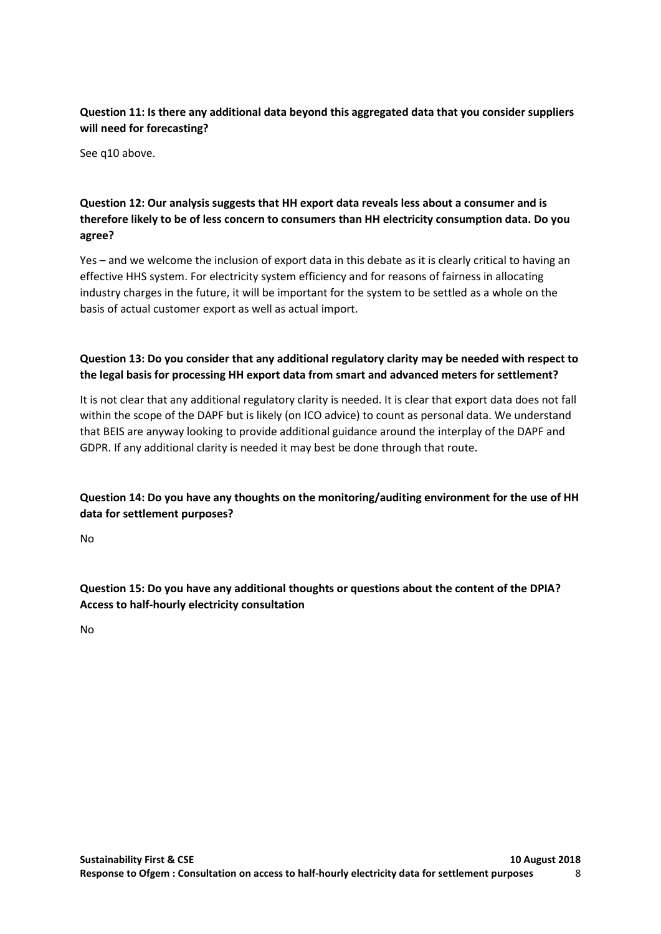#### **Question 11: Is there any additional data beyond this aggregated data that you consider suppliers will need for forecasting?**

See q10 above.

## **Question 12: Our analysis suggests that HH export data reveals less about a consumer and is therefore likely to be of less concern to consumers than HH electricity consumption data. Do you agree?**

Yes – and we welcome the inclusion of export data in this debate as it is clearly critical to having an effective HHS system. For electricity system efficiency and for reasons of fairness in allocating industry charges in the future, it will be important for the system to be settled as a whole on the basis of actual customer export as well as actual import.

#### **Question 13: Do you consider that any additional regulatory clarity may be needed with respect to the legal basis for processing HH export data from smart and advanced meters for settlement?**

It is not clear that any additional regulatory clarity is needed. It is clear that export data does not fall within the scope of the DAPF but is likely (on ICO advice) to count as personal data. We understand that BEIS are anyway looking to provide additional guidance around the interplay of the DAPF and GDPR. If any additional clarity is needed it may best be done through that route.

## **Question 14: Do you have any thoughts on the monitoring/auditing environment for the use of HH data for settlement purposes?**

No

## **Question 15: Do you have any additional thoughts or questions about the content of the DPIA? Access to half-hourly electricity consultation**

No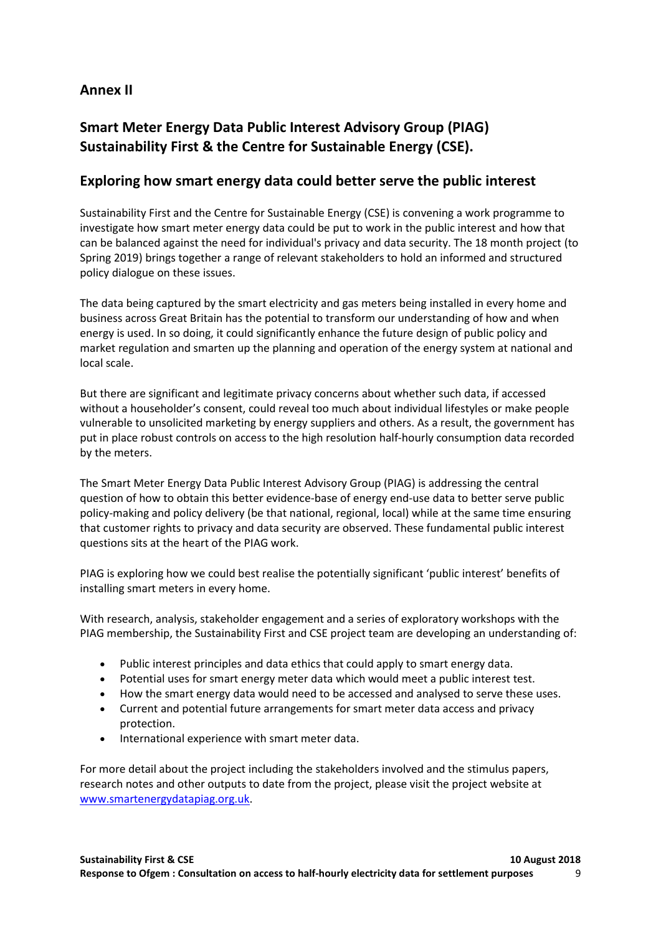# **Annex II**

# **Smart Meter Energy Data Public Interest Advisory Group (PIAG) Sustainability First & the Centre for Sustainable Energy (CSE).**

# **Exploring how smart energy data could better serve the public interest**

Sustainability First and the Centre for Sustainable Energy (CSE) is convening a work programme to investigate how smart meter energy data could be put to work in the public interest and how that can be balanced against the need for individual's privacy and data security. The 18 month project (to Spring 2019) brings together a range of relevant stakeholders to hold an informed and structured policy dialogue on these issues.

The data being captured by the smart electricity and gas meters being installed in every home and business across Great Britain has the potential to transform our understanding of how and when energy is used. In so doing, it could significantly enhance the future design of public policy and market regulation and smarten up the planning and operation of the energy system at national and local scale.

But there are significant and legitimate privacy concerns about whether such data, if accessed without a householder's consent, could reveal too much about individual lifestyles or make people vulnerable to unsolicited marketing by energy suppliers and others. As a result, the government has put in place robust controls on access to the high resolution half-hourly consumption data recorded by the meters.

The Smart Meter Energy Data Public Interest Advisory Group (PIAG) is addressing the central question of how to obtain this better evidence-base of energy end-use data to better serve public policy-making and policy delivery (be that national, regional, local) while at the same time ensuring that customer rights to privacy and data security are observed. These fundamental public interest questions sits at the heart of the PIAG work.

PIAG is exploring how we could best realise the potentially significant 'public interest' benefits of installing smart meters in every home.

With research, analysis, stakeholder engagement and a series of exploratory workshops with the PIAG membership, the Sustainability First and CSE project team are developing an understanding of:

- Public interest principles and data ethics that could apply to smart energy data.
- Potential uses for smart energy meter data which would meet a public interest test.
- How the smart energy data would need to be accessed and analysed to serve these uses.
- Current and potential future arrangements for smart meter data access and privacy protection.
- International experience with smart meter data.

For more detail about the project including the stakeholders involved and the stimulus papers, research notes and other outputs to date from the project, please visit the project website at [www.smartenergydatapiag.org.uk.](http://www.smartenergydatapiag.org.uk/)